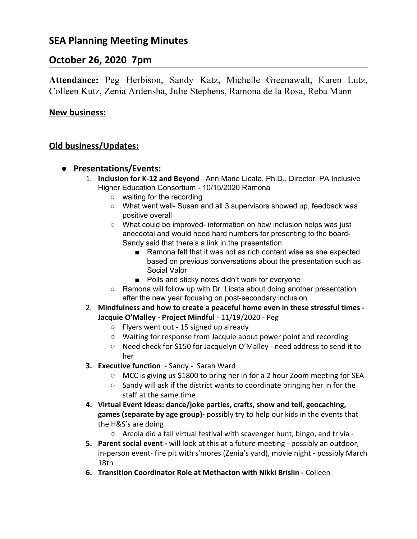# **SEA Planning Meeting Minutes**

# **October 26, 2020 7pm**

**Attendance:** Peg Herbison, Sandy Katz, Michelle Greenawalt, Karen Lutz, Colleen Kutz, Zenia Ardensha, Julie Stephens, Ramona de la Rosa, Reba Mann

### **New business:**

### **Old business/Updates:**

- **● Presentations/Events:**
	- 1. **Inclusion for K-12 and Beyond** Ann Marie Licata, Ph.D., Director, PA Inclusive Higher Education Consortium - 10/15/2020 Ramona
		- waiting for the recording
		- What went well- Susan and all 3 supervisors showed up, feedback was positive overall
		- What could be improved- information on how inclusion helps was just anecdotal and would need hard numbers for presenting to the board-Sandy said that there's a link in the presentation
			- Ramona felt that it was not as rich content wise as she expected based on previous conversations about the presentation such as Social Valor
			- Polls and sticky notes didn't work for everyone
		- Ramona will follow up with Dr. Licata about doing another presentation after the new year focusing on post-secondary inclusion
	- 2. **Mindfulness and how to create a peaceful home even in these stressful times - Jacquie O'Malley - Project Mindful** - 11/19/2020 - Peg
		- Flyers went out 15 signed up already
		- Waiting for response from Jacquie about power point and recording
		- Need check for \$150 for Jacquelyn O'Malley need address to send it to her
	- **3. Executive function -** SandySarah Ward
		- MCC is giving us \$1800 to bring her in for a 2 hour Zoom meeting for SEA
		- Sandy will ask if the district wants to coordinate bringing her in for the staff at the same time
	- **4. Virtual Event Ideas: dance/joke parties, crafts, show and tell, geocaching, games (separate by age group)-** possibly try to help our kids in the events that the H&S's are doing
		- Arcola did a fall virtual festival with scavenger hunt, bingo, and trivia -
	- **5. Parent social event -** will look at this at a future meeting possibly an outdoor, in-person event- fire pit with s'mores (Zenia's yard), movie night - possibly March 18th
	- **6. Transition Coordinator Role at Methacton with Nikki Brislin** Colleen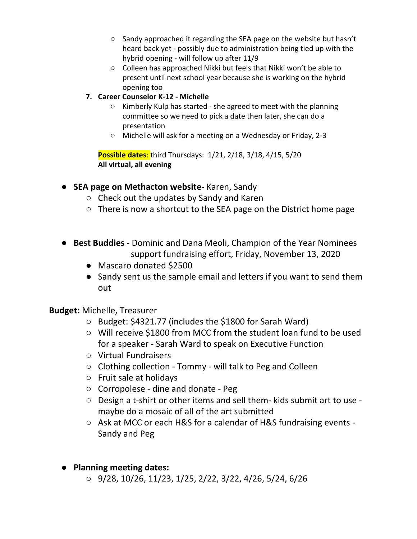- Sandy approached it regarding the SEA page on the website but hasn't heard back yet - possibly due to administration being tied up with the hybrid opening - will follow up after 11/9
- Colleen has approached Nikki but feels that Nikki won't be able to present until next school year because she is working on the hybrid opening too
- **7. Career Counselor K-12 Michelle**
	- Kimberly Kulp has started she agreed to meet with the planning committee so we need to pick a date then later, she can do a presentation
	- Michelle will ask for a meeting on a Wednesday or Friday, 2-3

**Possible dates**: third Thursdays: 1/21, 2/18, 3/18, 4/15, 5/20 **All virtual, all evening**

- **SEA page on Methacton website-** Karen, Sandy
	- Check out the updates by Sandy and Karen
	- $\circ$  There is now a shortcut to the SEA page on the District home page
- **Best Buddies -** Dominic and Dana Meoli, Champion of the Year Nominees support fundraising effort, Friday, November 13, 2020
	- Mascaro donated \$2500
	- Sandy sent us the sample email and letters if you want to send them out

## **Budget:** Michelle, Treasurer

- Budget: \$4321.77 (includes the \$1800 for Sarah Ward)
- Will receive \$1800 from MCC from the student loan fund to be used for a speaker - Sarah Ward to speak on Executive Function
- Virtual Fundraisers
- Clothing collection Tommy will talk to Peg and Colleen
- Fruit sale at holidays
- Corropolese dine and donate Peg
- Design a t-shirt or other items and sell them- kids submit art to use maybe do a mosaic of all of the art submitted
- Ask at MCC or each H&S for a calendar of H&S fundraising events -Sandy and Peg
- **● Planning meeting dates:**
	- 9/28, 10/26, 11/23, 1/25, 2/22, 3/22, 4/26, 5/24, 6/26